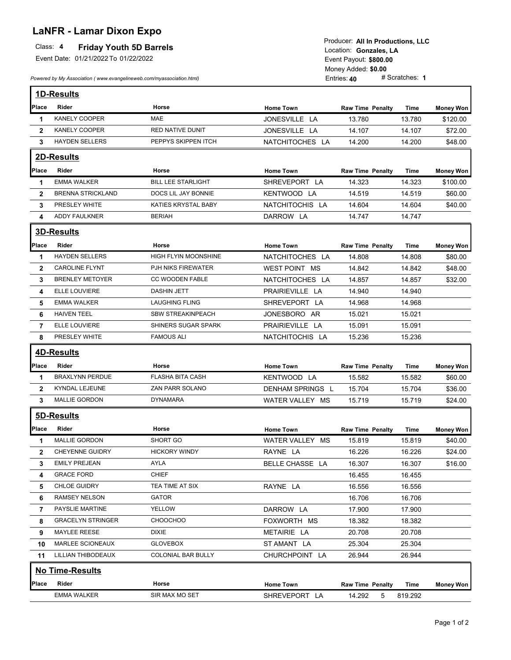## **LaNFR - Lamar Dixon Expo**

## Class: 4 **Friday Youth 5D Barrels**

Event Date: 01/21/2022 To 01/22/2022

*Powered by My Association ( www.evangelineweb.com/myassociation.html)* 

**\$800.00** Event Payout: Entries: **40** Money Added: **\$0.00**<br>Entries: **40** # Scratches: **1** Location: Gonzales, LA Producer: **All In Productions, LLC**

|                | 1D-Results               |                            |                  |                         |             |                  |
|----------------|--------------------------|----------------------------|------------------|-------------------------|-------------|------------------|
| Place          | <b>Rider</b>             | Horse                      | <b>Home Town</b> | <b>Raw Time Penalty</b> | <b>Time</b> | <b>Money Won</b> |
| 1              | <b>KANELY COOPER</b>     | <b>MAE</b>                 | JONESVILLE LA    | 13.780                  | 13.780      | \$120.00         |
| $\mathbf{2}$   | <b>KANELY COOPER</b>     | <b>RED NATIVE DUNIT</b>    | JONESVILLE LA    | 14.107                  | 14.107      | \$72.00          |
| 3              | <b>HAYDEN SELLERS</b>    | PEPPYS SKIPPEN ITCH        | NATCHITOCHES LA  | 14.200                  | 14.200      | \$48.00          |
|                | <b>2D-Results</b>        |                            |                  |                         |             |                  |
| Place          | Rider                    | Horse                      | <b>Home Town</b> | <b>Raw Time Penalty</b> | Time        | <b>Money Won</b> |
| 1              | <b>EMMA WALKER</b>       | <b>BILL LEE STARLIGHT</b>  | SHREVEPORT LA    | 14.323                  | 14.323      | \$100.00         |
| $\mathbf{2}$   | <b>BRENNA STRICKLAND</b> | DOCS LIL JAY BONNIE        | KENTWOOD LA      | 14.519                  | 14.519      | \$60.00          |
| 3              | PRESLEY WHITE            | <b>KATIES KRYSTAL BABY</b> | NATCHITOCHIS LA  | 14.604                  | 14.604      | \$40.00          |
| 4              | <b>ADDY FAULKNER</b>     | <b>BERIAH</b>              | DARROW LA        | 14.747                  | 14.747      |                  |
|                | <b>3D-Results</b>        |                            |                  |                         |             |                  |
| Place          | Rider                    | Horse                      | <b>Home Town</b> | <b>Raw Time Penalty</b> | Time        | <b>Money Won</b> |
| 1              | <b>HAYDEN SELLERS</b>    | HIGH FLYIN MOONSHINE       | NATCHITOCHES LA  | 14.808                  | 14.808      | \$80.00          |
| $\mathbf{2}$   | <b>CAROLINE FLYNT</b>    | PJH NIKS FIREWATER         | WEST POINT MS    | 14.842                  | 14.842      | \$48.00          |
| 3              | <b>BRENLEY METOYER</b>   | <b>CC WOODEN FABLE</b>     | NATCHITOCHES LA  | 14.857                  | 14.857      | \$32.00          |
| 4              | ELLE LOUVIERE            | <b>DASHIN JETT</b>         | PRAIRIEVILLE LA  | 14.940                  | 14.940      |                  |
| 5              | <b>EMMA WALKER</b>       | <b>LAUGHING FLING</b>      | SHREVEPORT LA    | 14.968                  | 14.968      |                  |
| 6              | <b>HAIVEN TEEL</b>       | <b>SBW STREAKINPEACH</b>   | JONESBORO AR     | 15.021                  | 15.021      |                  |
| $\overline{7}$ | ELLE LOUVIERE            | SHINERS SUGAR SPARK        | PRAIRIEVILLE LA  | 15.091                  | 15.091      |                  |
| 8              | PRESLEY WHITE            | <b>FAMOUS ALI</b>          | NATCHITOCHIS LA  | 15.236                  | 15.236      |                  |
|                | 4D-Results               |                            |                  |                         |             |                  |
| Place          | Rider                    | Horse                      | <b>Home Town</b> | <b>Raw Time Penalty</b> | Time        | <b>Money Won</b> |
| 1              | <b>BRAXLYNN PERDUE</b>   | <b>FLASHA BITA CASH</b>    | KENTWOOD LA      | 15.582                  | 15.582      | \$60.00          |
| $\mathbf{2}$   | KYNDAL LEJEUNE           | <b>ZAN PARR SOLANO</b>     | DENHAM SPRINGS L | 15.704                  | 15.704      | \$36.00          |
| 3              | <b>MALLIE GORDON</b>     | <b>DYNAMARA</b>            | WATER VALLEY MS  | 15.719                  | 15.719      | \$24.00          |
|                | 5D-Results               |                            |                  |                         |             |                  |
| Place          | Rider                    | Horse                      | <b>Home Town</b> | Raw Time Penalty        | Time        | <b>Money Won</b> |
| 1              | <b>MALLIE GORDON</b>     | SHORT GO                   | WATER VALLEY MS  | 15.819                  | 15.819      | \$40.00          |
| $\mathbf{2}$   | <b>CHEYENNE GUIDRY</b>   | <b>HICKORY WINDY</b>       | RAYNE LA         | 16.226                  | 16.226      | \$24.00          |
| 3              | <b>EMILY PREJEAN</b>     | AYLA                       | BELLE CHASSE LA  | 16.307                  | 16.307      | \$16.00          |
| 4              | <b>GRACE FORD</b>        | <b>CHIEF</b>               |                  | 16.455                  | 16.455      |                  |
| 5              | CHLOE GUIDRY             | TEA TIME AT SIX            | RAYNE LA         | 16.556                  | 16.556      |                  |
| 6              | RAMSEY NELSON            | <b>GATOR</b>               |                  | 16.706                  | 16.706      |                  |
| 7              | PAYSLIE MARTINE          | YELLOW                     | DARROW LA        | 17.900                  | 17.900      |                  |
| 8              | <b>GRACELYN STRINGER</b> | CHOOCHOO                   | FOXWORTH MS      | 18.382                  | 18.382      |                  |
| 9              | MAYLEE REESE             | <b>DIXIE</b>               | METAIRIE LA      | 20.708                  | 20.708      |                  |
| 10             | MARLEE SCIONEAUX         | <b>GLOVEBOX</b>            | ST AMANT LA      | 25.304                  | 25.304      |                  |
| 11             | LILLIAN THIBODEAUX       | COLONIAL BAR BULLY         | CHURCHPOINT LA   | 26.944                  | 26.944      |                  |
|                | <b>No Time-Results</b>   |                            |                  |                         |             |                  |
| Place          | Rider                    | Horse                      | <b>Home Town</b> | <b>Raw Time Penalty</b> | Time        | <b>Money Won</b> |
|                | <b>EMMA WALKER</b>       | SIR MAX MO SET             | SHREVEPORT LA    | 14.292<br>5             | 819.292     |                  |